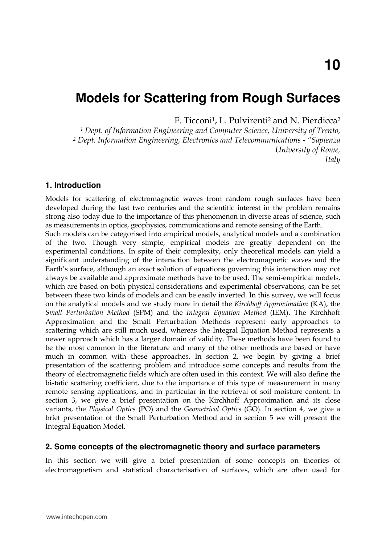# **Models for Scattering from Rough Surfaces**

F. Ticconi1, L. Pulvirenti2 and N. Pierdicca<sup>2</sup>

*1 Dept. of Information Engineering and Computer Science, University of Trento, 2 Dept. Information Engineering, Electronics and Telecommunications - "Sapienza University of Rome, Italy* 

## **1. Introduction**

Models for scattering of electromagnetic waves from random rough surfaces have been developed during the last two centuries and the scientific interest in the problem remains strong also today due to the importance of this phenomenon in diverse areas of science, such as measurements in optics, geophysics, communications and remote sensing of the Earth.

Such models can be categorised into empirical models, analytical models and a combination of the two. Though very simple, empirical models are greatly dependent on the experimental conditions. In spite of their complexity, only theoretical models can yield a significant understanding of the interaction between the electromagnetic waves and the Earth's surface, although an exact solution of equations governing this interaction may not always be available and approximate methods have to be used. The semi-empirical models, which are based on both physical considerations and experimental observations, can be set between these two kinds of models and can be easily inverted. In this survey, we will focus on the analytical models and we study more in detail the *Kirchhoff Approximation* (KA), the *Small Perturbation Method* (SPM) and the *Integral Equation Method* (IEM). The Kirchhoff Approximation and the Small Perturbation Methods represent early approaches to scattering which are still much used, whereas the Integral Equation Method represents a newer approach which has a larger domain of validity. These methods have been found to be the most common in the literature and many of the other methods are based or have much in common with these approaches. In section 2, we begin by giving a brief presentation of the scattering problem and introduce some concepts and results from the theory of electromagnetic fields which are often used in this context. We will also define the bistatic scattering coefficient, due to the importance of this type of measurement in many remote sensing applications, and in particular in the retrieval of soil moisture content. In section 3, we give a brief presentation on the Kirchhoff Approximation and its close variants, the *Physical Optics* (PO) and the *Geometrical Optics* (GO). In section 4, we give a brief presentation of the Small Perturbation Method and in section 5 we will present the Integral Equation Model.

# **2. Some concepts of the electromagnetic theory and surface parameters**

In this section we will give a brief presentation of some concepts on theories of electromagnetism and statistical characterisation of surfaces, which are often used for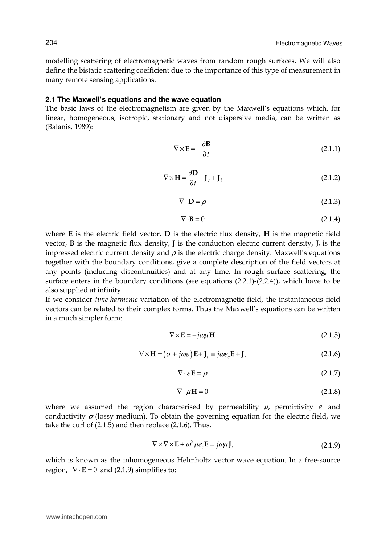modelling scattering of electromagnetic waves from random rough surfaces. We will also define the bistatic scattering coefficient due to the importance of this type of measurement in many remote sensing applications.

#### **2.1 The Maxwell's equations and the wave equation**

The basic laws of the electromagnetism are given by the Maxwell's equations which, for linear, homogeneous, isotropic, stationary and not dispersive media, can be written as (Balanis, 1989):

$$
\nabla \times \mathbf{E} = -\frac{\partial \mathbf{B}}{\partial t}
$$
 (2.1.1)

$$
\nabla \times \mathbf{H} = \frac{\partial \mathbf{D}}{\partial t} + \mathbf{J}_c + \mathbf{J}_i
$$
 (2.1.2)

$$
\nabla \cdot \mathbf{D} = \rho \tag{2.1.3}
$$

$$
\nabla \cdot \mathbf{B} = 0 \tag{2.1.4}
$$

where **E** is the electric field vector, **D** is the electric flux density, **H** is the magnetic field vector, **B** is the magnetic flux density, **J** is the conduction electric current density,  $J_i$  is the impressed electric current density and  $\rho$  is the electric charge density. Maxwell's equations together with the boundary conditions, give a complete description of the field vectors at any points (including discontinuities) and at any time. In rough surface scattering, the surface enters in the boundary conditions (see equations  $(2.2.1)-(2.2.4)$ ), which have to be also supplied at infinity.

If we consider *time-harmonic* variation of the electromagnetic field, the instantaneous field vectors can be related to their complex forms. Thus the Maxwell's equations can be written in a much simpler form:

$$
\nabla \times \mathbf{E} = -j\omega\mu \mathbf{H}
$$
 (2.1.5)

$$
\nabla \times \mathbf{H} = (\sigma + j\omega \varepsilon) \mathbf{E} + \mathbf{J}_i \equiv j\omega \varepsilon_c \mathbf{E} + \mathbf{J}_i
$$
 (2.1.6)

$$
\nabla \cdot \mathcal{E} \mathbf{E} = \rho \tag{2.1.7}
$$

$$
\nabla \cdot \mu \mathbf{H} = 0 \tag{2.1.8}
$$

where we assumed the region characterised by permeability  $\mu$ , permittivity  $\varepsilon$  and conductivity  $\sigma$  (lossy medium). To obtain the governing equation for the electric field, we take the curl of (2.1.5) and then replace (2.1.6). Thus,

$$
\nabla \times \nabla \times \mathbf{E} + \omega^2 \mu \varepsilon_c \mathbf{E} = j \omega \mu \mathbf{J}_i
$$
 (2.1.9)

which is known as the inhomogeneous Helmholtz vector wave equation. In a free-source region,  $\nabla \cdot \mathbf{E} = 0$  and (2.1.9) simplifies to: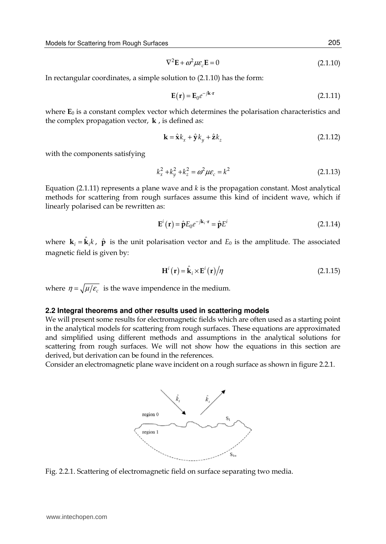$$
\nabla^2 \mathbf{E} + \omega^2 \mu \varepsilon_c \mathbf{E} = 0 \tag{2.1.10}
$$

In rectangular coordinates, a simple solution to (2.1.10) has the form:

$$
\mathbf{E}(\mathbf{r}) = \mathbf{E}_0 e^{-j\mathbf{k} \cdot \mathbf{r}} \tag{2.1.11}
$$

where **E**<sub>0</sub> is a constant complex vector which determines the polarisation characteristics and the complex propagation vector, **k** , is defined as:

$$
\mathbf{k} = \hat{\mathbf{x}}k_x + \hat{\mathbf{y}}k_y + \hat{\mathbf{z}}k_z
$$
 (2.1.12)

with the components satisfying

$$
k_x^2 + k_y^2 + k_z^2 = \omega^2 \mu \varepsilon_c = k^2
$$
 (2.1.13)

Equation (2.1.11) represents a plane wave and *k* is the propagation constant. Most analytical methods for scattering from rough surfaces assume this kind of incident wave, which if linearly polarised can be rewritten as:

$$
\mathbf{E}^{i}(\mathbf{r}) = \hat{\mathbf{p}}E_{0}e^{-j\mathbf{k}_{i}\cdot\mathbf{r}} = \hat{\mathbf{p}}E^{i}
$$
 (2.1.14)

where  $\mathbf{k}_i = \hat{\mathbf{k}}_i k$ ,  $\hat{\mathbf{p}}$  is the unit polarisation vector and  $E_0$  is the amplitude. The associated magnetic field is given by:

$$
\mathbf{H}^{i}(\mathbf{r}) = \hat{\mathbf{k}}_{i} \times \mathbf{E}^{i}(\mathbf{r})/\eta
$$
 (2.1.15)

where  $\eta = \sqrt{\mu/\varepsilon_c}$  is the wave impendence in the medium.

#### **2.2 Integral theorems and other results used in scattering models**

We will present some results for electromagnetic fields which are often used as a starting point in the analytical models for scattering from rough surfaces. These equations are approximated and simplified using different methods and assumptions in the analytical solutions for scattering from rough surfaces. We will not show how the equations in this section are derived, but derivation can be found in the references.

Consider an electromagnetic plane wave incident on a rough surface as shown in figure 2.2.1.



Fig. 2.2.1. Scattering of electromagnetic field on surface separating two media.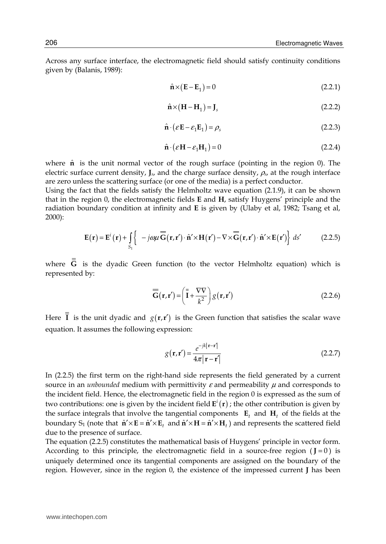Across any surface interface, the electromagnetic field should satisfy continuity conditions given by (Balanis, 1989):

$$
\hat{\mathbf{n}} \times (\mathbf{E} - \mathbf{E}_1) = 0 \tag{2.2.1}
$$

$$
\hat{\mathbf{n}} \times (\mathbf{H} - \mathbf{H}_1) = \mathbf{J}_s \tag{2.2.2}
$$

$$
\hat{\mathbf{n}} \cdot (\varepsilon \mathbf{E} - \varepsilon_1 \mathbf{E}_1) = \rho_s \tag{2.2.3}
$$

$$
\hat{\mathbf{n}} \cdot (\varepsilon \mathbf{H} - \varepsilon_1 \mathbf{H}_1) = 0 \tag{2.2.4}
$$

where  $\hat{\bf{n}}$  is the unit normal vector of the rough surface (pointing in the region 0). The electric surface current density, **J***s*, and the charge surface density, ρ*s*, at the rough interface are zero unless the scattering surface (or one of the media) is a perfect conductor.

Using the fact that the fields satisfy the Helmholtz wave equation (2.1.9), it can be shown that in the region 0, the electromagnetic fields **E** and **H**, satisfy Huygens' principle and the radiation boundary condition at infinity and **E** is given by (Ulaby et al, 1982; Tsang et al, 2000):

$$
\mathbf{E}(\mathbf{r}) = \mathbf{E}^i(\mathbf{r}) + \int_{S_1} \left\{ -j\omega\mu \, \overline{\mathbf{G}}(\mathbf{r}, \mathbf{r}') \cdot \hat{\mathbf{n}}' \times \mathbf{H}(\mathbf{r}') - \nabla \times \overline{\mathbf{G}}(\mathbf{r}, \mathbf{r}') \cdot \hat{\mathbf{n}}' \times \mathbf{E}(\mathbf{r}') \right\} \, d\mathbf{s}' \tag{2.2.5}
$$

where  $\overline{G}$  is the dyadic Green function (to the vector Helmholtz equation) which is represented by:

$$
\overline{\overline{\mathbf{G}}}(\mathbf{r}, \mathbf{r}') = \left(\overline{\mathbf{I}} + \frac{\nabla \nabla}{k^2}\right) g(\mathbf{r}, \mathbf{r}')\tag{2.2.6}
$$

Here  $\bar{I}$  is the unit dyadic and  $g(r, r')$  is the Green function that satisfies the scalar wave equation. It assumes the following expression:

$$
g(\mathbf{r}, \mathbf{r}') = \frac{e^{-jk|\mathbf{r} - \mathbf{r}'|}}{4\pi|\mathbf{r} - \mathbf{r}'|}
$$
(2.2.7)

In (2.2.5) the first term on the right-hand side represents the field generated by a current source in an *unbounded* medium with permittivity  $\varepsilon$  and permeability  $\mu$  and corresponds to the incident field. Hence, the electromagnetic field in the region 0 is expressed as the sum of two contributions: one is given by the incident field  $E^{t}(r)$ ; the other contribution is given by the surface integrals that involve the tangential components  $\mathbf{E}_t$  and  $\mathbf{H}_t$  of the fields at the boundary S<sub>1</sub> (note that  $\hat{\mathbf{n}}' \times \mathbf{E} = \hat{\mathbf{n}}' \times \mathbf{E}_t$  and  $\hat{\mathbf{n}}' \times \mathbf{H} = \hat{\mathbf{n}}' \times \mathbf{H}_t$ ) and represents the scattered field due to the presence of surface.

The equation (2.2.5) constitutes the mathematical basis of Huygens' principle in vector form. According to this principle, the electromagnetic field in a source-free region  $(J=0)$  is uniquely determined once its tangential components are assigned on the boundary of the region. However, since in the region 0, the existence of the impressed current **J** has been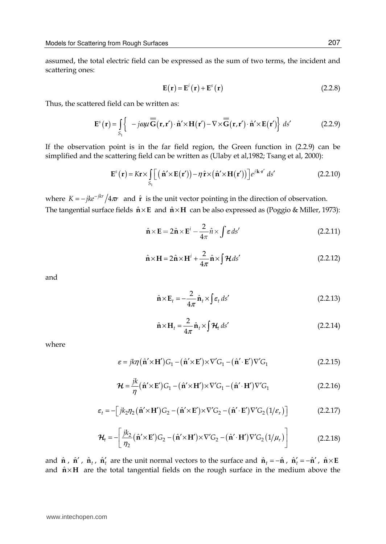assumed, the total electric field can be expressed as the sum of two terms, the incident and scattering ones:

$$
\mathbf{E}(\mathbf{r}) = \mathbf{E}^{i}(\mathbf{r}) + \mathbf{E}^{s}(\mathbf{r})
$$
\n(2.2.8)

Thus, the scattered field can be written as:

$$
\mathbf{E}^{s}(\mathbf{r}) = \int_{S_1} \left\{ -j\omega\mu \, \overline{\mathbf{G}}(\mathbf{r}, \mathbf{r}') \cdot \hat{\mathbf{n}}' \times \mathbf{H}(\mathbf{r}') - \nabla \times \overline{\mathbf{G}}(\mathbf{r}, \mathbf{r}') \cdot \hat{\mathbf{n}}' \times \mathbf{E}(\mathbf{r}') \right\} \, d s' \tag{2.2.9}
$$

If the observation point is in the far field region, the Green function in (2.2.9) can be simplified and the scattering field can be written as (Ulaby et al,1982; Tsang et al, 2000):

$$
\mathbf{E}^{s}(\mathbf{r}) = K\mathbf{r} \times \int_{S_{1}} \left[ \left( \hat{\mathbf{n}}' \times \mathbf{E}(\mathbf{r}') \right) - \eta \hat{\mathbf{r}} \times \left( \hat{\mathbf{n}}' \times \mathbf{H}(\mathbf{r}') \right) \right] e^{j\mathbf{k}\cdot\mathbf{r}'} d\mathbf{s}' \tag{2.2.10}
$$

where  $K = -jke^{-jkr}/4\pi r$  and  $\hat{\mathbf{r}}$  is the unit vector pointing in the direction of observation. The tangential surface fields  $\hat{\bf n} \times {\bf E}$  and  $\hat{\bf n} \times {\bf H}$  can be also expressed as (Poggio & Miller, 1973):

$$
\hat{\mathbf{n}} \times \mathbf{E} = 2\hat{\mathbf{n}} \times \mathbf{E}^i - \frac{2}{4\pi} \hat{n} \times \int \varepsilon \, ds' \tag{2.2.11}
$$

$$
\hat{\mathbf{n}} \times \mathbf{H} = 2\hat{\mathbf{n}} \times \mathbf{H}^{i} + \frac{2}{4\pi} \hat{\mathbf{n}} \times \int \mathcal{H} ds' \qquad (2.2.12)
$$

and

$$
\hat{\mathbf{n}} \times \mathbf{E}_t = -\frac{2}{4\pi} \hat{\mathbf{n}}_t \times \int \varepsilon_t \, d\mathbf{s}' \tag{2.2.13}
$$

$$
\hat{\mathbf{n}} \times \mathbf{H}_t = \frac{2}{4\pi} \hat{\mathbf{n}}_t \times \int \mathcal{H}_t \, ds' \tag{2.2.14}
$$

where

$$
\varepsilon = jk\eta(\hat{\mathbf{n}}' \times \mathbf{H}')G_1 - (\hat{\mathbf{n}}' \times \mathbf{E}') \times \nabla' G_1 - (\hat{\mathbf{n}}' \cdot \mathbf{E}')\nabla' G_1
$$
\n(2.2.15)

$$
\mathcal{H} = \frac{jk}{\eta} (\hat{\mathbf{n}}' \times \mathbf{E}') G_1 - (\hat{\mathbf{n}}' \times \mathbf{H}') \times \nabla' G_1 - (\hat{\mathbf{n}}' \cdot \mathbf{H}') \nabla' G_1
$$
\n(2.2.16)

$$
\varepsilon_t = -\Big[jk_2\eta_2\left(\hat{\mathbf{n}}'\times\mathbf{H}'\right)G_2 - \left(\hat{\mathbf{n}}'\times\mathbf{E}'\right)\times\nabla'G_2 - \left(\hat{\mathbf{n}}'\cdot\mathbf{E}'\right)\nabla'G_2\left(1/\varepsilon_r\right)\Big] \tag{2.2.17}
$$

$$
\mathbf{\mathcal{H}}_{t} = -\left[ \frac{j k_2}{\eta_2} (\hat{\mathbf{n}}' \times \mathbf{E}') G_2 - (\hat{\mathbf{n}}' \times \mathbf{H}') \times \nabla' G_2 - (\hat{\mathbf{n}}' \cdot \mathbf{H}') \nabla' G_2 (1/\mu_r) \right]
$$
(2.2.18)

and  $\hat{\bf n}$ ,  $\hat{\bf n}'$ ,  $\hat{\bf n}'_t$ ,  $\hat{\bf n}'_t$  are the unit normal vectors to the surface and  $\hat{\bf n}_t = -\hat{\bf n}$ ,  $\hat{\bf n}'_t = -\hat{\bf n}'$ ,  $\hat{\bf n} \times {\bf E}$ and  $\hat{\bf n} \times {\bf H}$  are the total tangential fields on the rough surface in the medium above the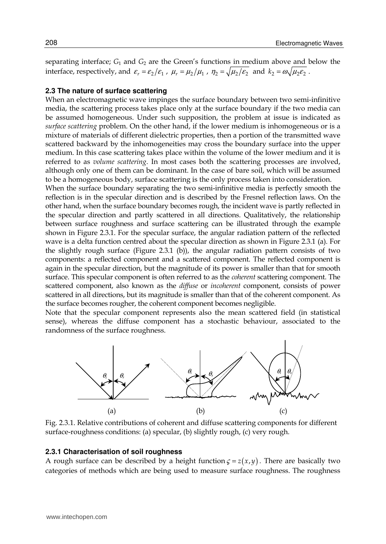separating interface;  $G_1$  and  $G_2$  are the Green's functions in medium above and below the interface, respectively, and  $\varepsilon_r = \varepsilon_2/\varepsilon_1$ ,  $\mu_r = \mu_2/\mu_1$ ,  $\eta_2 = \sqrt{\mu_2/\varepsilon_2}$  and  $k_2 = \omega_2/\mu_2 \varepsilon_2$ .

#### **2.3 The nature of surface scattering**

When an electromagnetic wave impinges the surface boundary between two semi-infinitive media, the scattering process takes place only at the surface boundary if the two media can be assumed homogeneous. Under such supposition, the problem at issue is indicated as *surface scattering* problem. On the other hand, if the lower medium is inhomogeneous or is a mixture of materials of different dielectric properties, then a portion of the transmitted wave scattered backward by the inhomogeneities may cross the boundary surface into the upper medium. In this case scattering takes place within the volume of the lower medium and it is referred to as *volume scattering*. In most cases both the scattering processes are involved, although only one of them can be dominant. In the case of bare soil, which will be assumed to be a homogeneous body, surface scattering is the only process taken into consideration.

When the surface boundary separating the two semi-infinitive media is perfectly smooth the reflection is in the specular direction and is described by the Fresnel reflection laws. On the other hand, when the surface boundary becomes rough, the incident wave is partly reflected in the specular direction and partly scattered in all directions. Qualitatively, the relationship between surface roughness and surface scattering can be illustrated through the example shown in Figure 2.3.1. For the specular surface, the angular radiation pattern of the reflected wave is a delta function centred about the specular direction as shown in Figure 2.3.1 (a). For the slightly rough surface (Figure 2.3.1 (b)), the angular radiation pattern consists of two components: a reflected component and a scattered component. The reflected component is again in the specular direction, but the magnitude of its power is smaller than that for smooth surface. This specular component is often referred to as the *coherent* scattering component. The scattered component, also known as the *diffuse* or *incoherent* component, consists of power scattered in all directions, but its magnitude is smaller than that of the coherent component. As the surface becomes rougher, the coherent component becomes negligible.

Note that the specular component represents also the mean scattered field (in statistical sense), whereas the diffuse component has a stochastic behaviour, associated to the randomness of the surface roughness.



Fig. 2.3.1. Relative contributions of coherent and diffuse scattering components for different surface-roughness conditions: (a) specular, (b) slightly rough, (c) very rough.

#### **2.3.1 Characterisation of soil roughness**

A rough surface can be described by a height function  $\zeta = z(x, y)$ . There are basically two categories of methods which are being used to measure surface roughness. The roughness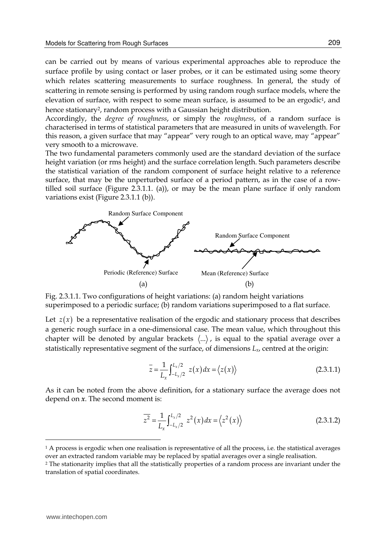can be carried out by means of various experimental approaches able to reproduce the surface profile by using contact or laser probes, or it can be estimated using some theory which relates scattering measurements to surface roughness. In general, the study of scattering in remote sensing is performed by using random rough surface models, where the elevation of surface, with respect to some mean surface, is assumed to be an ergodic $1$ , and hence stationary<sup>2</sup>, random process with a Gaussian height distribution.

Accordingly, the *degree of roughness*, or simply the *roughness*, of a random surface is characterised in terms of statistical parameters that are measured in units of wavelength. For this reason, a given surface that may "appear" very rough to an optical wave, may "appear" very smooth to a microwave.

The two fundamental parameters commonly used are the standard deviation of the surface height variation (or rms height) and the surface correlation length. Such parameters describe the statistical variation of the random component of surface height relative to a reference surface, that may be the unperturbed surface of a period pattern, as in the case of a rowtilled soil surface (Figure 2.3.1.1. (a)), or may be the mean plane surface if only random variations exist (Figure 2.3.1.1 (b)).



Fig. 2.3.1.1. Two configurations of height variations: (a) random height variations superimposed to a periodic surface; (b) random variations superimposed to a flat surface.

Let  $z(x)$  be a representative realisation of the ergodic and stationary process that describes a generic rough surface in a one-dimensional case. The mean value, which throughout this chapter will be denoted by angular brackets  $\langle ... \rangle$ , is equal to the spatial average over a statistically representative segment of the surface, of dimensions *Lx*, centred at the origin:

$$
\overline{z} = \frac{1}{L_x} \int_{-L_x/2}^{L_x/2} z(x) dx = \langle z(x) \rangle
$$
 (2.3.1.1)

As it can be noted from the above definition, for a stationary surface the average does not depend on *x*. The second moment is:

$$
\overline{z^2} = \frac{1}{L_x} \int_{-L_x/2}^{L_x/2} z^2(x) dx = \langle z^2(x) \rangle
$$
 (2.3.1.2)

 $\overline{a}$ 

<sup>&</sup>lt;sup>1</sup> A process is ergodic when one realisation is representative of all the process, i.e. the statistical averages over an extracted random variable may be replaced by spatial averages over a single realisation.

<sup>2</sup> The stationarity implies that all the statistically properties of a random process are invariant under the translation of spatial coordinates.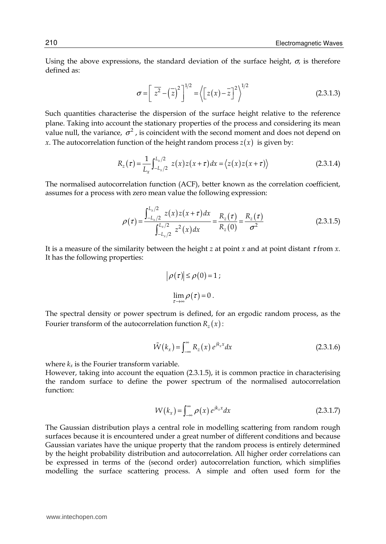Using the above expressions, the standard deviation of the surface height,  $\sigma$ , is therefore defined as:

$$
\sigma = \left[\overline{z^2} - \left(\overline{z}\right)^2\right]^{1/2} = \left\langle \left[\overline{z}(x) - \overline{z}\right]^2 \right\rangle^{1/2} \tag{2.3.1.3}
$$

Such quantities characterise the dispersion of the surface height relative to the reference plane. Taking into account the stationary properties of the process and considering its mean value null, the variance,  $\sigma^2$ , is coincident with the second moment and does not depend on *x*. The autocorrelation function of the height random process  $z(x)$  is given by:

$$
R_z(\tau) = \frac{1}{L_x} \int_{-L_x/2}^{L_x/2} z(x) z(x+\tau) dx = \langle z(x) z(x+\tau) \rangle
$$
\n(2.3.1.4)

The normalised autocorrelation function (ACF), better known as the correlation coefficient, assumes for a process with zero mean value the following expression:

$$
\rho(\tau) = \frac{\int_{-L_x/2}^{L_x/2} z(x)z(x+\tau)dx}{\int_{-L_x/2}^{L_x/2} z^2(x)dx} = \frac{R_z(\tau)}{R_z(0)} = \frac{R_z(\tau)}{\sigma^2}
$$
(2.3.1.5)

It is a measure of the similarity between the height *z* at point *x* and at point distant  $\tau$  from *x*. It has the following properties:

$$
|\rho(\tau)| \leq \rho(0) = 1 ;
$$
  

$$
\lim_{\tau \to \infty} \rho(\tau) = 0 .
$$

The spectral density or power spectrum is defined, for an ergodic random process, as the Fourier transform of the autocorrelation function  $R_{\tau}(x)$ :

$$
\tilde{W}(k_x) = \int_{-\infty}^{\infty} R_z(x) e^{jk_x x} dx
$$
\n(2.3.1.6)

where  $k_x$  is the Fourier transform variable.

However, taking into account the equation (2.3.1.5), it is common practice in characterising the random surface to define the power spectrum of the normalised autocorrelation function:

$$
W(k_x) = \int_{-\infty}^{\infty} \rho(x) e^{jk_x x} dx
$$
 (2.3.1.7)

The Gaussian distribution plays a central role in modelling scattering from random rough surfaces because it is encountered under a great number of different conditions and because Gaussian variates have the unique property that the random process is entirely determined by the height probability distribution and autocorrelation. All higher order correlations can be expressed in terms of the (second order) autocorrelation function, which simplifies modelling the surface scattering process. A simple and often used form for the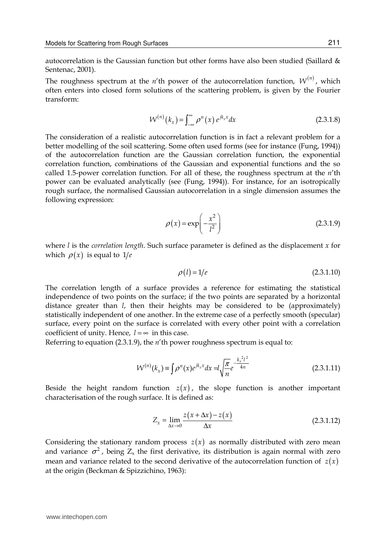autocorrelation is the Gaussian function but other forms have also been studied (Saillard & Sentenac, 2001).

The roughness spectrum at the *n*'th power of the autocorrelation function,  $W^{(n)}$ , which often enters into closed form solutions of the scattering problem, is given by the Fourier transform:

$$
W^{(n)}(k_x) = \int_{-\infty}^{\infty} \rho^n(x) e^{jk_x x} dx
$$
 (2.3.1.8)

The consideration of a realistic autocorrelation function is in fact a relevant problem for a better modelling of the soil scattering. Some often used forms (see for instance (Fung, 1994)) of the autocorrelation function are the Gaussian correlation function, the exponential correlation function, combinations of the Gaussian and exponential functions and the so called 1.5-power correlation function. For all of these, the roughness spectrum at the *n*'th power can be evaluated analytically (see (Fung, 1994)). For instance, for an isotropically rough surface, the normalised Gaussian autocorrelation in a single dimension assumes the following expression:

$$
\rho(x) = \exp\left(-\frac{x^2}{l^2}\right) \tag{2.3.1.9}
$$

where *l* is the *correlation length*. Such surface parameter is defined as the displacement *x* for which  $\rho(x)$  is equal to  $1/e$ 

$$
\rho(l) = 1/e \tag{2.3.1.10}
$$

The correlation length of a surface provides a reference for estimating the statistical independence of two points on the surface; if the two points are separated by a horizontal distance greater than *l*, then their heights may be considered to be (approximately) statistically independent of one another. In the extreme case of a perfectly smooth (specular) surface, every point on the surface is correlated with every other point with a correlation coefficient of unity. Hence,  $l = \infty$  in this case.

Referring to equation (2.3.1.9), the *n*'th power roughness spectrum is equal to:

$$
W^{(n)}(k_x) = \int \rho^n(x)e^{jk_x x} dx = \sqrt{\frac{\pi}{n}} e^{-\frac{k_x^2 l^2}{4n}}
$$
 (2.3.1.11)

Beside the height random function  $z(x)$ , the slope function is another important characterisation of the rough surface. It is defined as:

$$
Z_x = \lim_{\Delta x \to 0} \frac{z(x + \Delta x) - z(x)}{\Delta x}
$$
 (2.3.1.12)

Considering the stationary random process  $z(x)$  as normally distributed with zero mean and variance  $\sigma^2$ , being  $Z_x$ , the first derivative, its distribution is again normal with zero mean and variance related to the second derivative of the autocorrelation function of  $z(x)$ at the origin (Beckman & Spizzichino, 1963):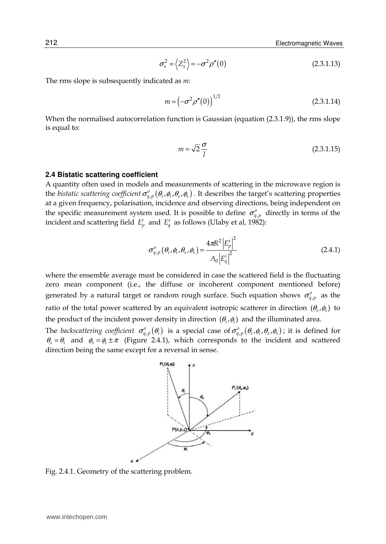$$
\sigma_s^2 = \langle Z_x^2 \rangle = -\sigma^2 \rho''(0) \tag{2.3.1.13}
$$

The rms slope is subsequently indicated as *m*:

$$
m = \left(-\sigma^2 \rho''(0)\right)^{1/2} \tag{2.3.1.14}
$$

When the normalised autocorrelation function is Gaussian (equation (2.3.1.9)), the rms slope is equal to:

$$
m = \sqrt{2} \frac{\sigma}{l} \tag{2.3.1.15}
$$

#### **2.4 Bistatic scattering coefficient**

A quantity often used in models and measurements of scattering in the microwave region is the *bistatic scattering coefficient*  $\sigma_{q,p}^o(\theta_i, \phi_i, \theta_s, \phi_s)$ . It describes the target's scattering properties at a given frequency, polarisation, incidence and observing directions, being independent on the specific measurement system used. It is possible to define  $\sigma_{q,p}^o$  directly in terms of the incident and scattering field  $E_p^i$  and  $E_q^s$  as follows (Ulaby et al, 1982):

$$
\sigma_{q,p}^{\circ}(\theta_i, \phi_i, \theta_s, \phi_s) = \frac{4\pi R^2 |E_p^s|^2}{A_0 |E_q^i|^2}
$$
\n(2.4.1)

where the ensemble average must be considered in case the scattered field is the fluctuating zero mean component (i.e., the diffuse or incoherent component mentioned before) generated by a natural target or random rough surface. Such equation shows  $\sigma_{q,p}^o$  as the ratio of the total power scattered by an equivalent isotropic scatterer in direction  $(\theta_s, \phi_s)$  to the product of the incident power density in direction  $(\theta_i, \phi_i)$  and the illuminated area.

The *backscattering coefficient*  $\sigma_{q,p}^o(\theta_i)$  is a special case of  $\sigma_{q,p}^o(\theta_i,\phi_i,\theta_s,\phi_s)$ ; it is defined for  $\theta_s = \theta_i$  and  $\phi_s = \phi_i \pm \pi$  (Figure 2.4.1), which corresponds to the incident and scattered direction being the same except for a reversal in sense.



Fig. 2.4.1. Geometry of the scattering problem.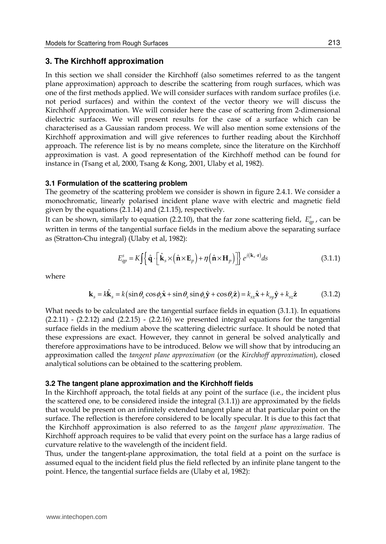#### **3. The Kirchhoff approximation**

In this section we shall consider the Kirchhoff (also sometimes referred to as the tangent plane approximation) approach to describe the scattering from rough surfaces, which was one of the first methods applied. We will consider surfaces with random surface profiles (i.e. not period surfaces) and within the context of the vector theory we will discuss the Kirchhoff Approximation. We will consider here the case of scattering from 2-dimensional dielectric surfaces. We will present results for the case of a surface which can be characterised as a Gaussian random process. We will also mention some extensions of the Kirchhoff approximation and will give references to further reading about the Kirchhoff approach. The reference list is by no means complete, since the literature on the Kirchhoff approximation is vast. A good representation of the Kirchhoff method can be found for instance in (Tsang et al, 2000, Tsang & Kong, 2001, Ulaby et al, 1982).

#### **3.1 Formulation of the scattering problem**

The geometry of the scattering problem we consider is shown in figure 2.4.1. We consider a monochromatic, linearly polarised incident plane wave with electric and magnetic field given by the equations (2.1.14) and (2.1.15), respectively.

It can be shown, similarly to equation (2.2.10), that the far zone scattering field,  $E_{m}^s$ , can be written in terms of the tangential surface fields in the medium above the separating surface as (Stratton-Chu integral) (Ulaby et al, 1982):

$$
E_{qp}^s = K \iint \left\{ \hat{\mathbf{q}} \cdot \left[ \hat{\mathbf{k}}_s \times (\hat{\mathbf{n}} \times \mathbf{E}_p) + \eta \left( \hat{\mathbf{n}} \times \mathbf{H}_p \right) \right] \right\} e^{j(\mathbf{k}_s \cdot \mathbf{r})} ds \tag{3.1.1}
$$

where

$$
\mathbf{k}_s = k\hat{\mathbf{k}}_s = k\left(\sin\theta_s\cos\phi_s\hat{\mathbf{x}} + \sin\theta_s\sin\phi_s\hat{\mathbf{y}} + \cos\theta_s\hat{\mathbf{z}}\right) = k_{sx}\hat{\mathbf{x}} + k_{sy}\hat{\mathbf{y}} + k_{sz}\hat{\mathbf{z}}
$$
(3.1.2)

What needs to be calculated are the tangential surface fields in equation (3.1.1). In equations  $(2.2.11)$  -  $(2.2.12)$  and  $(2.2.15)$  -  $(2.2.16)$  we presented integral equations for the tangential surface fields in the medium above the scattering dielectric surface. It should be noted that these expressions are exact. However, they cannot in general be solved analytically and therefore approximations have to be introduced. Below we will show that by introducing an approximation called the *tangent plane approximation* (or the *Kirchhoff approximation*), closed analytical solutions can be obtained to the scattering problem.

#### **3.2 The tangent plane approximation and the Kirchhoff fields**

In the Kirchhoff approach, the total fields at any point of the surface (i.e., the incident plus the scattered one, to be considered inside the integral (3.1.1)) are approximated by the fields that would be present on an infinitely extended tangent plane at that particular point on the surface. The reflection is therefore considered to be locally specular. It is due to this fact that the Kirchhoff approximation is also referred to as the *tangent plane approximation*. The Kirchhoff approach requires to be valid that every point on the surface has a large radius of curvature relative to the wavelength of the incident field.

Thus, under the tangent-plane approximation, the total field at a point on the surface is assumed equal to the incident field plus the field reflected by an infinite plane tangent to the point. Hence, the tangential surface fields are (Ulaby et al, 1982):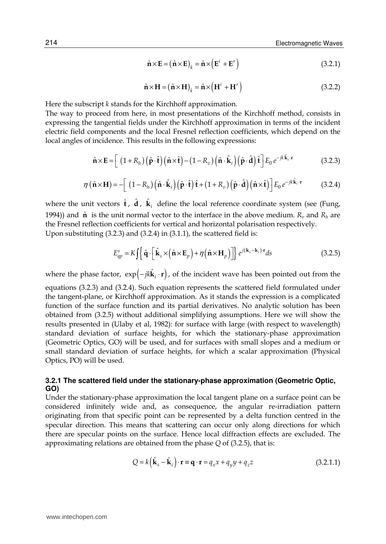$$
\hat{\mathbf{n}} \times \mathbf{E} = (\hat{\mathbf{n}} \times \mathbf{E})_k = \hat{\mathbf{n}} \times (\mathbf{E}^i + \mathbf{E}^r)
$$
\n(3.2.1)

$$
\hat{\mathbf{n}} \times \mathbf{H} = (\hat{\mathbf{n}} \times \mathbf{H})_k = \hat{\mathbf{n}} \times (\mathbf{H}^i + \mathbf{H}^r)
$$
(3.2.2)

Here the subscript *k* stands for the Kirchhoff approximation.

The way to proceed from here, in most presentations of the Kirchhoff method, consists in expressing the tangential fields under the Kirchhoff approximation in terms of the incident electric field components and the local Fresnel reflection coefficients, which depend on the local angles of incidence. This results in the following expressions:

$$
\hat{\mathbf{n}} \times \mathbf{E} = \left[ (1 + R_h) (\hat{\mathbf{p}} \cdot \hat{\mathbf{t}}) (\hat{\mathbf{n}} \times \hat{\mathbf{t}}) - (1 - R_v) (\hat{\mathbf{n}} \cdot \hat{\mathbf{k}}_i) (\hat{\mathbf{p}} \cdot \hat{\mathbf{d}}) \hat{\mathbf{t}} \right] E_0 e^{-jk \hat{\mathbf{k}}_i \cdot \mathbf{r}}
$$
(3.2.3)

$$
\eta\left(\hat{\mathbf{n}} \times \mathbf{H}\right) = -\left[ \left(1 - R_h\right) \left(\hat{\mathbf{n}} \cdot \hat{\mathbf{k}}_i\right) \left(\hat{\mathbf{p}} \cdot \hat{\mathbf{t}}\right) \hat{\mathbf{t}} + \left(1 + R_v\right) \left(\hat{\mathbf{p}} \cdot \hat{\mathbf{d}}\right) \left(\hat{\mathbf{n}} \times \hat{\mathbf{t}}\right) \right] E_0 e^{-jk\hat{\mathbf{k}}_i \cdot \mathbf{r}} \tag{3.2.4}
$$

where the unit vectors  $\hat{\bf t}$ ,  $\hat{\bf d}$ ,  $\hat{\bf k}_i$  define the local reference coordinate system (see (Fung, 1994)) and  $\hat{\bf{n}}$  is the unit normal vector to the interface in the above medium.  $R_v$  and  $R_h$  are the Fresnel reflection coefficients for vertical and horizontal polarisation respectively. Upon substituting (3.2.3) and (3.2.4) in (3.1.1), the scattered field is:

$$
E_{qp}^s = K \iint \left\{ \hat{\mathbf{q}} \cdot \left[ \hat{\mathbf{k}}_s \times \left( \hat{\mathbf{n}} \times \mathbf{E}_p \right) + \eta \left( \hat{\mathbf{n}} \times \mathbf{H}_p \right) \right] \right\} e^{j(\mathbf{k}_s - \mathbf{k}_i) \cdot \mathbf{r}} ds \tag{3.2.5}
$$

where the phase factor,  $exp(-jk\hat{k}_i \cdot \mathbf{r})$ , of the incident wave has been pointed out from the equations (3.2.3) and (3.2.4). Such equation represents the scattered field formulated under the tangent-plane, or Kirchhoff approximation. As it stands the expression is a complicated function of the surface function and its partial derivatives. No analytic solution has been obtained from (3.2.5) without additional simplifying assumptions. Here we will show the results presented in (Ulaby et al, 1982): for surface with large (with respect to wavelength) standard deviation of surface heights, for which the stationary-phase approximation (Geometric Optics, GO) will be used, and for surfaces with small slopes and a medium or small standard deviation of surface heights, for which a scalar approximation (Physical Optics, PO) will be used.

#### **3.2.1 The scattered field under the stationary-phase approximation (Geometric Optic, GO)**

Under the stationary-phase approximation the local tangent plane on a surface point can be considered infinitely wide and, as consequence, the angular re-irradiation pattern originating from that specific point can be represented by a delta function centred in the specular direction. This means that scattering can occur only along directions for which there are specular points on the surface. Hence local diffraction effects are excluded. The approximating relations are obtained from the phase *Q* of (3.2.5), that is:

$$
Q = k(\hat{\mathbf{k}}_s - \hat{\mathbf{k}}_i) \cdot \mathbf{r} \equiv \mathbf{q} \cdot \mathbf{r} = q_x x + q_y y + q_z z \tag{3.2.1.1}
$$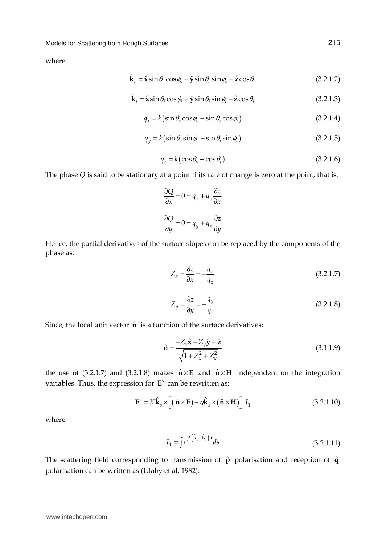where

$$
\hat{\mathbf{k}}_s = \hat{\mathbf{x}} \sin \theta_s \cos \phi_s + \hat{\mathbf{y}} \sin \theta_s \sin \phi_s + \hat{\mathbf{z}} \cos \theta_s \tag{3.2.1.2}
$$

$$
\hat{\mathbf{k}}_i = \hat{\mathbf{x}} \sin \theta_i \cos \phi_i + \hat{\mathbf{y}} \sin \theta_i \sin \phi_i - \hat{\mathbf{z}} \cos \theta_i
$$
\n(3.2.1.3)

$$
q_x = k \left( \sin \theta_s \cos \phi_s - \sin \theta_i \cos \phi_i \right) \tag{3.2.1.4}
$$

$$
q_y = k \left( \sin \theta_s \sin \phi_s - \sin \theta_i \sin \phi_i \right) \tag{3.2.1.5}
$$

$$
q_z = k(\cos\theta_s + \cos\theta_i) \tag{3.2.1.6}
$$

The phase *Q* is said to be stationary at a point if its rate of change is zero at the point, that is:

$$
\frac{\partial Q}{\partial x} = 0 = q_x + q_z \frac{\partial z}{\partial x}
$$

$$
\frac{\partial Q}{\partial y} = 0 = q_y + q_z \frac{\partial z}{\partial y}
$$

Hence, the partial derivatives of the surface slopes can be replaced by the components of the phase as:

$$
Z_x = \frac{\partial z}{\partial x} = -\frac{q_x}{q_z} \tag{3.2.1.7}
$$

$$
Z_y = \frac{\partial z}{\partial y} = -\frac{q_y}{q_z} \tag{3.2.1.8}
$$

Since, the local unit vector  $\hat{\mathbf{n}}$  is a function of the surface derivatives:

$$
\hat{\mathbf{n}} = \frac{-Z_x \hat{\mathbf{x}} - Z_y \hat{\mathbf{y}} + \hat{\mathbf{z}}}{\sqrt{1 + Z_x^2 + Z_y^2}}
$$
(3.1.1.9)

the use of (3.2.1.7) and (3.2.1.8) makes  $\hat{\bf n} \times {\bf E}$  and  $\hat{\bf n} \times {\bf H}$  independent on the integration variables. Thus, the expression for  $\mathbf{E}^s$  can be rewritten as:

$$
\mathbf{E}^{s} = K\hat{\mathbf{k}}_{s} \times \left[ \left( \hat{\mathbf{n}} \times \mathbf{E} \right) - \eta \hat{\mathbf{k}}_{s} \times \left( \hat{\mathbf{n}} \times \mathbf{H} \right) \right] I_{1}
$$
\n(3.2.1.10)

where

$$
I_1 = \int e^{jk(\hat{\mathbf{k}}_s - \hat{\mathbf{k}}_i) \cdot \mathbf{r}} ds
$$
\n(3.2.1.11)

The scattering field corresponding to transmission of  $\hat{p}$  polarisation and reception of  $\hat{q}$ polarisation can be written as (Ulaby et al, 1982):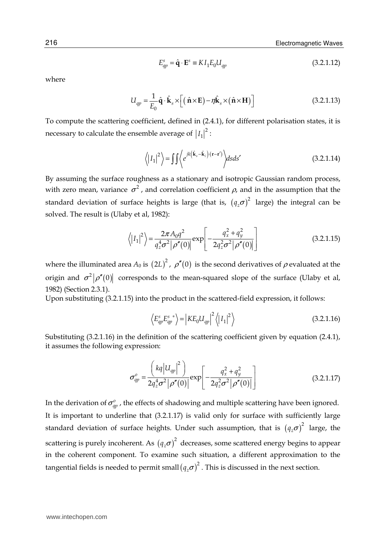$$
E_{qp}^s = \hat{\mathbf{q}} \cdot \mathbf{E}^s \equiv K I_1 E_0 U_{qp}
$$
 (3.2.1.12)

where

$$
U_{qp} = \frac{1}{E_0} \hat{\mathbf{q}} \cdot \hat{\mathbf{k}}_s \times \left[ (\hat{\mathbf{n}} \times \mathbf{E}) - \eta \hat{\mathbf{k}}_s \times (\hat{\mathbf{n}} \times \mathbf{H}) \right]
$$
(3.2.1.13)

To compute the scattering coefficient, defined in (2.4.1), for different polarisation states, it is necessary to calculate the ensemble average of  $|I_1|^2$ :

$$
\langle |I_1|^2 \rangle = \iint \langle e^{jk(\hat{\mathbf{k}}_s - \hat{\mathbf{k}}_i)(\mathbf{r} - \mathbf{r}')} \rangle ds ds'
$$
 (3.2.1.14)

By assuming the surface roughness as a stationary and isotropic Gaussian random process, with zero mean, variance  $\sigma^2$ , and correlation coefficient  $\rho$ , and in the assumption that the standard deviation of surface heights is large (that is,  $\left( q_z \sigma \right)^2$  large) the integral can be solved. The result is (Ulaby et al, 1982):

$$
\langle |I_1|^2 \rangle = \frac{2\pi A_0 q^2}{q_z^4 \sigma^2 |\rho''(0)|} \exp \left[ -\frac{q_x^2 + q_y^2}{2q_z^2 \sigma^2 |\rho''(0)|} \right]
$$
(3.2.1.15)

where the illuminated area  $A_0$  is  $(2L)^2$ ,  $\rho''(0)$  is the second derivatives of  $\rho$  evaluated at the origin and  $\sigma^2 |\rho''(0)|$  corresponds to the mean-squared slope of the surface (Ulaby et al, 1982) (Section 2.3.1).

Upon substituting (3.2.1.15) into the product in the scattered-field expression, it follows:

$$
\left\langle E_{qp}^s E_{qp}^s \right\rangle = \left| KE_0 U_{qp} \right|^2 \left\langle \left| I_1 \right|^2 \right\rangle \tag{3.2.1.16}
$$

Substituting (3.2.1.16) in the definition of the scattering coefficient given by equation (2.4.1), it assumes the following expression:

$$
\sigma_{qp}^{o} = \frac{\left(kq|U_{qp}|^2\right)}{2q_z^4\sigma^2|\rho''(0)|} \exp\left[-\frac{q_x^2+q_y^2}{2q_z^2\sigma^2|\rho''(0)|}\right]
$$
(3.2.1.17)

In the derivation of  $\sigma_{ap}^{\circ}$ , the effects of shadowing and multiple scattering have been ignored. It is important to underline that (3.2.1.17) is valid only for surface with sufficiently large standard deviation of surface heights. Under such assumption, that is  $\left( q_z \sigma \right)^2$  large, the scattering is purely incoherent. As  $(q_z \sigma)^2$  decreases, some scattered energy begins to appear in the coherent component. To examine such situation, a different approximation to the tangential fields is needed to permit small  $(q_z \sigma)^2$ . This is discussed in the next section.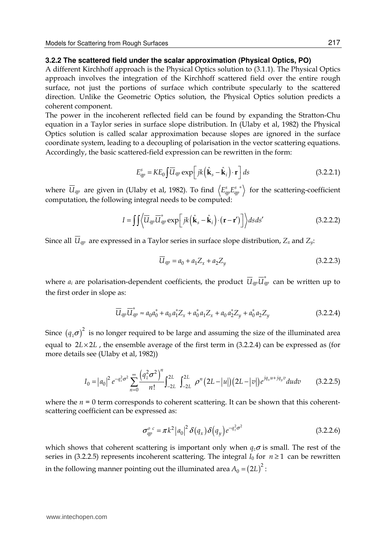#### **3.2.2 The scattered field under the scalar approximation (Physical Optics, PO)**

A different Kirchhoff approach is the Physical Optics solution to (3.1.1). The Physical Optics approach involves the integration of the Kirchhoff scattered field over the entire rough surface, not just the portions of surface which contribute specularly to the scattered direction. Unlike the Geometric Optics solution, the Physical Optics solution predicts a coherent component.

The power in the incoherent reflected field can be found by expanding the Stratton-Chu equation in a Taylor series in surface slope distribution. In (Ulaby et al, 1982) the Physical Optics solution is called scalar approximation because slopes are ignored in the surface coordinate system, leading to a decoupling of polarisation in the vector scattering equations. Accordingly, the basic scattered-field expression can be rewritten in the form:

$$
E_{qp}^s = KE_0 \int \overline{U}_{qp} \exp \left[ jk \left( \hat{\mathbf{k}}_s - \hat{\mathbf{k}}_i \right) \cdot \mathbf{r} \right] ds \tag{3.2.2.1}
$$

where  $\overline{U}_{qp}$  are given in (Ulaby et al, 1982). To find  $\left\langle E_{qp}^s E_{qp}^{s*} \right\rangle$  for the scattering-coefficient computation, the following integral needs to be computed:

$$
I = \iint \left\langle \overline{U}_{qp} \overline{U}_{qp}^* \exp\left[jk\left(\hat{\mathbf{k}}_s - \hat{\mathbf{k}}_i\right) \cdot (\mathbf{r} - \mathbf{r}')\right] \right\rangle ds ds' \tag{3.2.2.2}
$$

Since all  $\overline{U}_{qp}$  are expressed in a Taylor series in surface slope distribution,  $Z_x$  and  $Z_y$ :

$$
\overline{U}_{qp} = a_0 + a_1 Z_x + a_2 Z_y \tag{3.2.2.3}
$$

where  $a_i$  are polarisation-dependent coefficients, the product  $\overline{U}_{qp}\overline{U}_{qp}^*$  can be written up to the first order in slope as:

$$
\overline{U}_{qp}\overline{U}_{qp}^* \approx a_0 a_0^* + a_0 a_1^* Z_x + a_0^* a_1 Z_x + a_0 a_2^* Z_y + a_0^* a_2 Z_y \tag{3.2.2.4}
$$

Since  $(q_z \sigma)^2$  is no longer required to be large and assuming the size of the illuminated area equal to  $2L \times 2L$ , the ensemble average of the first term in (3.2.2.4) can be expressed as (for more details see (Ulaby et al, 1982))

$$
I_0 = |a_0|^2 e^{-q_z^2 \sigma^2} \sum_{n=0}^{\infty} \frac{\left(q_z^2 \sigma^2\right)^n}{n!} \int_{-2L}^{2L} \int_{-2L}^{2L} \rho^n (2L - |u|) (2L - |v|) e^{j q_x u + j q_y v} du dv \qquad (3.2.2.5)
$$

where the  $n = 0$  term corresponds to coherent scattering. It can be shown that this coherentscattering coefficient can be expressed as:

$$
\sigma_{qp}^{\sigma c} = \pi k^2 |a_0|^2 \delta(q_x) \delta(q_y) e^{-q_z^2 \sigma^2}
$$
\n(3.2.2.6)

which shows that coherent scattering is important only when  $q_z\sigma$  is small. The rest of the series in (3.2.2.5) represents incoherent scattering. The integral  $I_0$  for  $n \ge 1$  can be rewritten in the following manner pointing out the illuminated area  $A_0 = (2L)^2$ :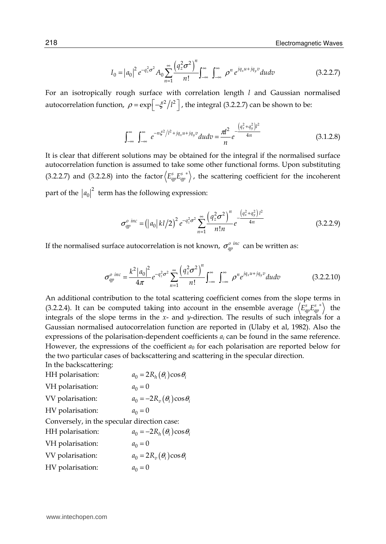$$
I_0 = |a_0|^2 e^{-q_z^2 \sigma^2} A_0 \sum_{n=1}^{\infty} \frac{\left(q_z^2 \sigma^2\right)^n}{n!} \int_{-\infty}^{\infty} \int_{-\infty}^{\infty} \rho^n e^{jq_x u + jq_y v} du dv \tag{3.2.2.7}
$$

For an isotropically rough surface with correlation length *l* and Gaussian normalised autocorrelation function,  $\rho = \exp \left[ -\xi^2 / l^2 \right]$ , the integral (3.2.2.7) can be shown to be:

$$
\int_{-\infty}^{\infty} \int_{-\infty}^{\infty} e^{-n\xi^2/l^2 + jq_x u + jq_y v} du dv = \frac{\pi l^2}{n} e^{-\frac{(q_x^2 + q_y^2)l^2}{4n}}
$$
(3.1.2.8)

It is clear that different solutions may be obtained for the integral if the normalised surface autocorrelation function is assumed to take some other functional forms. Upon substituting (3.2.2.7) and (3.2.2.8) into the factor  $\left\langle E_{qp}^s E_{qp}^{s*} \right\rangle$ , the scattering coefficient for the incoherent part of the  $|a_0|^2$  term has the following expression:

$$
\sigma_{qp}^{o\ inc} = (|a_0|kl/2)^2 e^{-q_z^2 \sigma^2} \sum_{n=1}^{\infty} \frac{\left(q_z^2 \sigma^2\right)^n}{n!n} e^{-\frac{\left(q_x^2 + q_y^2\right)l^2}{4n}}
$$
(3.2.2.9)

If the normalised surface autocorrelation is not known,  $\sigma_{qp}^o{}^{inc}$  can be written as:

$$
\sigma_{qp}^{o\ inc} = \frac{k^2 |a_0|^2}{4\pi} e^{-q_z^2 \sigma^2} \sum_{n=1}^{\infty} \frac{\left(q_z^2 \sigma^2\right)^n}{n!} \int_{-\infty}^{\infty} \int_{-\infty}^{\infty} \rho^n e^{jq_x u + jq_y v} du dv \tag{3.2.2.10}
$$

An additional contribution to the total scattering coefficient comes from the slope terms in (3.2.2.4). It can be computed taking into account in the ensemble average  $\left\langle E_{qp}^s E_{qp}^s \right\rangle$  the integrals of the slope terms in the *x*- and *y*-direction. The results of such integrals for a Gaussian normalised autocorrelation function are reported in (Ulaby et al, 1982). Also the expressions of the polarisation-dependent coefficients *ai* can be found in the same reference. However, the expressions of the coefficient  $a_0$  for each polarisation are reported below for the two particular cases of backscattering and scattering in the specular direction.

In the backscattering: HH polarisation:  $a_0 = 2R_h(\theta_i) \cos \theta_i$ VH polarisation:  $a_0 = 0$ VV polarisation:  $a_0 = -2R_v(\theta_i)\cos\theta_i$ HV polarisation:  $a_0 = 0$ Conversely, in the specular direction case: HH polarisation:  $a_0 = -2R_h(\theta_i)\cos\theta_i$ VH polarisation:  $a_0 = 0$ VV polarisation:  $a_0 = 2R_v(\theta_i) \cos \theta_i$ HV polarisation:  $a_0 = 0$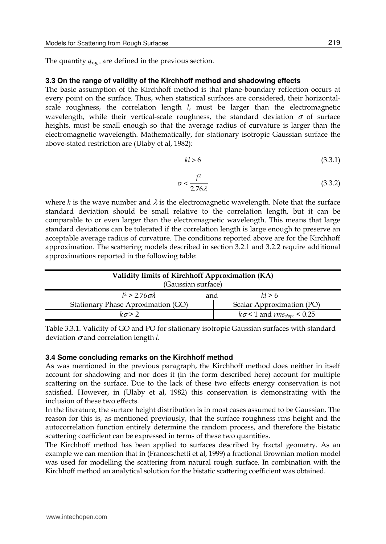The quantity *qx,y,z* are defined in the previous section.

#### **3.3 On the range of validity of the Kirchhoff method and shadowing effects**

The basic assumption of the Kirchhoff method is that plane-boundary reflection occurs at every point on the surface. Thus, when statistical surfaces are considered, their horizontalscale roughness, the correlation length *l*, must be larger than the electromagnetic wavelength, while their vertical-scale roughness, the standard deviation  $\sigma$  of surface heights, must be small enough so that the average radius of curvature is larger than the electromagnetic wavelength. Mathematically, for stationary isotropic Gaussian surface the above-stated restriction are (Ulaby et al, 1982):

$$
kl > 6\tag{3.3.1}
$$

$$
\sigma < \frac{l^2}{2.76\lambda} \tag{3.3.2}
$$

where *k* is the wave number and  $\lambda$  is the electromagnetic wavelength. Note that the surface standard deviation should be small relative to the correlation length, but it can be comparable to or even larger than the electromagnetic wavelength. This means that large standard deviations can be tolerated if the correlation length is large enough to preserve an acceptable average radius of curvature. The conditions reported above are for the Kirchhoff approximation. The scattering models described in section 3.2.1 and 3.2.2 require additional approximations reported in the following table:

| Validity limits of Kirchhoff Approximation (KA)<br>(Gaussian surface) |                                        |  |  |
|-----------------------------------------------------------------------|----------------------------------------|--|--|
| $l^2 > 2.76 \sigma \lambda$                                           | k! > 6<br>and                          |  |  |
| Stationary Phase Aproximation (GO)                                    | Scalar Approximation (PO)              |  |  |
| $k\sigma$ > 2                                                         | $k\sigma$ < 1 and $rms_{slope}$ < 0.25 |  |  |

Table 3.3.1. Validity of GO and PO for stationary isotropic Gaussian surfaces with standard deviation σ and correlation length *l*.

#### **3.4 Some concluding remarks on the Kirchhoff method**

As was mentioned in the previous paragraph, the Kirchhoff method does neither in itself account for shadowing and nor does it (in the form described here) account for multiple scattering on the surface. Due to the lack of these two effects energy conservation is not satisfied. However, in (Ulaby et al, 1982) this conservation is demonstrating with the inclusion of these two effects.

In the literature, the surface height distribution is in most cases assumed to be Gaussian. The reason for this is, as mentioned previously, that the surface roughness rms height and the autocorrelation function entirely determine the random process, and therefore the bistatic scattering coefficient can be expressed in terms of these two quantities.

The Kirchhoff method has been applied to surfaces described by fractal geometry. As an example we can mention that in (Franceschetti et al, 1999) a fractional Brownian motion model was used for modelling the scattering from natural rough surface. In combination with the Kirchhoff method an analytical solution for the bistatic scattering coefficient was obtained.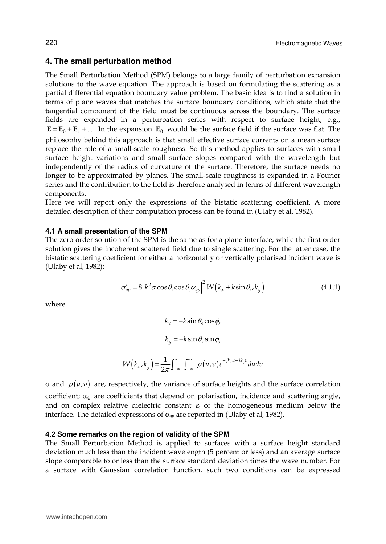#### **4. The small perturbation method**

The Small Perturbation Method (SPM) belongs to a large family of perturbation expansion solutions to the wave equation. The approach is based on formulating the scattering as a partial differential equation boundary value problem. The basic idea is to find a solution in terms of plane waves that matches the surface boundary conditions, which state that the tangential component of the field must be continuous across the boundary. The surface fields are expanded in a perturbation series with respect to surface height, e.g.,  $\mathbf{E} = \mathbf{E}_0 + \mathbf{E}_1 + \dots$ . In the expansion  $\mathbf{E}_0$  would be the surface field if the surface was flat. The philosophy behind this approach is that small effective surface currents on a mean surface replace the role of a small-scale roughness. So this method applies to surfaces with small surface height variations and small surface slopes compared with the wavelength but independently of the radius of curvature of the surface. Therefore, the surface needs no longer to be approximated by planes. The small-scale roughness is expanded in a Fourier series and the contribution to the field is therefore analysed in terms of different wavelength components.

Here we will report only the expressions of the bistatic scattering coefficient. A more detailed description of their computation process can be found in (Ulaby et al, 1982).

#### **4.1 A small presentation of the SPM**

The zero order solution of the SPM is the same as for a plane interface, while the first order solution gives the incoherent scattered field due to single scattering. For the latter case, the bistatic scattering coefficient for either a horizontally or vertically polarised incident wave is (Ulaby et al, 1982):

$$
\sigma_{qp}^o = 8 \left| k^2 \sigma \cos \theta_i \cos \theta_s \alpha_{qp} \right|^2 W \left( k_x + k \sin \theta_i, k_y \right) \tag{4.1.1}
$$

where

$$
k_x = -k \sin \theta_s \cos \phi_s
$$

$$
k_y = -k \sin \theta_s \sin \phi_s
$$

$$
W(k_x, k_y) = \frac{1}{2\pi} \int_{-\infty}^{\infty} \int_{-\infty}^{\infty} \rho(u, v) e^{-jk_x u - jk_y v} du dv
$$

**σ** and  $ρ(u,v)$  are, respectively, the variance of surface heights and the surface correlation coefficient; α*qp* are coefficients that depend on polarisation, incidence and scattering angle, and on complex relative dielectric constant <sup>ε</sup>*c* of the homogeneous medium below the interface. The detailed expressions of  $\alpha_{qp}$  are reported in (Ulaby et al, 1982).

#### **4.2 Some remarks on the region of validity of the SPM**

The Small Perturbation Method is applied to surfaces with a surface height standard deviation much less than the incident wavelength (5 percent or less) and an average surface slope comparable to or less than the surface standard deviation times the wave number. For a surface with Gaussian correlation function, such two conditions can be expressed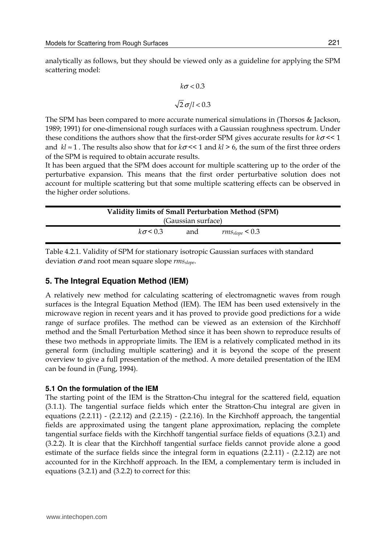analytically as follows, but they should be viewed only as a guideline for applying the SPM scattering model:

$$
k\sigma < 0.3
$$
  

$$
\sqrt{2} \sigma/l < 0.3
$$

The SPM has been compared to more accurate numerical simulations in (Thorsos & Jackson, 1989; 1991) for one-dimensional rough surfaces with a Gaussian roughness spectrum. Under these conditions the authors show that the first-order SPM gives accurate results for *k*σ << 1 and  $kl \approx 1$ . The results also show that for  $k\sigma \ll 1$  and  $kl > 6$ , the sum of the first three orders of the SPM is required to obtain accurate results.

It has been argued that the SPM does account for multiple scattering up to the order of the perturbative expansion. This means that the first order perturbative solution does not account for multiple scattering but that some multiple scattering effects can be observed in the higher order solutions.

| Validity limits of Small Perturbation Method (SPM) |     |                     |
|----------------------------------------------------|-----|---------------------|
| (Gaussian surface)                                 |     |                     |
| $k\sigma$ < 0.3                                    | and | $rms_{slope} < 0.3$ |

Table 4.2.1. Validity of SPM for stationary isotropic Gaussian surfaces with standard deviation σ and root mean square slope *rmsslope*.

# **5. The Integral Equation Method (IEM)**

A relatively new method for calculating scattering of electromagnetic waves from rough surfaces is the Integral Equation Method (IEM). The IEM has been used extensively in the microwave region in recent years and it has proved to provide good predictions for a wide range of surface profiles. The method can be viewed as an extension of the Kirchhoff method and the Small Perturbation Method since it has been shown to reproduce results of these two methods in appropriate limits. The IEM is a relatively complicated method in its general form (including multiple scattering) and it is beyond the scope of the present overview to give a full presentation of the method. A more detailed presentation of the IEM can be found in (Fung, 1994).

## **5.1 On the formulation of the IEM**

The starting point of the IEM is the Stratton-Chu integral for the scattered field, equation (3.1.1). The tangential surface fields which enter the Stratton-Chu integral are given in equations  $(2.2.11)$  -  $(2.2.12)$  and  $(2.2.15)$  -  $(2.2.16)$ . In the Kirchhoff approach, the tangential fields are approximated using the tangent plane approximation, replacing the complete tangential surface fields with the Kirchhoff tangential surface fields of equations (3.2.1) and (3.2.2). It is clear that the Kirchhoff tangential surface fields cannot provide alone a good estimate of the surface fields since the integral form in equations (2.2.11) - (2.2.12) are not accounted for in the Kirchhoff approach. In the IEM, a complementary term is included in equations (3.2.1) and (3.2.2) to correct for this: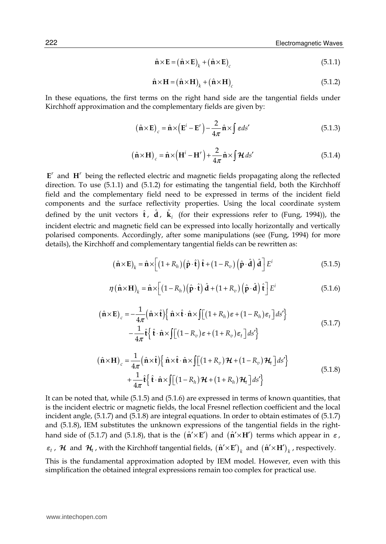$$
\hat{\mathbf{n}} \times \mathbf{E} = (\hat{\mathbf{n}} \times \mathbf{E})_k + (\hat{\mathbf{n}} \times \mathbf{E})_c
$$
\n(5.1.1)

$$
\hat{\mathbf{n}} \times \mathbf{H} = (\hat{\mathbf{n}} \times \mathbf{H})_k + (\hat{\mathbf{n}} \times \mathbf{H})_c
$$
\n(5.1.2)

In these equations, the first terms on the right hand side are the tangential fields under Kirchhoff approximation and the complementary fields are given by:

$$
(\hat{\mathbf{n}} \times \mathbf{E})_c = \hat{\mathbf{n}} \times (\mathbf{E}^i - \mathbf{E}^r) - \frac{2}{4\pi} \hat{\mathbf{n}} \times \int \varepsilon ds' \tag{5.1.3}
$$

$$
(\hat{\mathbf{n}} \times \mathbf{H})_c = \hat{\mathbf{n}} \times (\mathbf{H}^i - \mathbf{H}^r) + \frac{2}{4\pi} \hat{\mathbf{n}} \times \int \mathcal{H} \, ds' \tag{5.1.4}
$$

 $E^r$  and  $H^r$  being the reflected electric and magnetic fields propagating along the reflected direction. To use (5.1.1) and (5.1.2) for estimating the tangential field, both the Kirchhoff field and the complementary field need to be expressed in terms of the incident field components and the surface reflectivity properties. Using the local coordinate system defined by the unit vectors  $\hat{\bf t}$ ,  $\hat{\bf d}$ ,  $\hat{\bf k}_i$  (for their expressions refer to (Fung, 1994)), the incident electric and magnetic field can be expressed into locally horizontally and vertically polarised components. Accordingly, after some manipulations (see (Fung, 1994) for more details), the Kirchhoff and complementary tangential fields can be rewritten as:

$$
\left(\hat{\mathbf{n}} \times \mathbf{E}\right)_k = \hat{\mathbf{n}} \times \left[ \left(1 + R_h\right) \left(\hat{\mathbf{p}} \cdot \hat{\mathbf{t}}\right) \hat{\mathbf{t}} + \left(1 - R_v\right) \left(\hat{\mathbf{p}} \cdot \hat{\mathbf{d}}\right) \hat{\mathbf{d}} \right] E^i \tag{5.1.5}
$$

$$
\eta\left(\hat{\mathbf{n}} \times \mathbf{H}\right)_k = \hat{\mathbf{n}} \times \left[ \left(1 - R_h\right) \left(\hat{\mathbf{p}} \cdot \hat{\mathbf{t}}\right) \hat{\mathbf{d}} + \left(1 + R_v\right) \left(\hat{\mathbf{p}} \cdot \hat{\mathbf{d}}\right) \hat{\mathbf{t}} \right] E^i \tag{5.1.6}
$$

$$
(\hat{\mathbf{n}} \times \mathbf{E})_c = -\frac{1}{4\pi} (\hat{\mathbf{n}} \times \hat{\mathbf{t}}) \left\{ \hat{\mathbf{n}} \times \hat{\mathbf{t}} \cdot \hat{\mathbf{n}} \times \int \left[ (1 + R_h) \varepsilon + (1 - R_h) \varepsilon_t \right] ds' \right\}
$$
  
 
$$
-\frac{1}{4\pi} \hat{\mathbf{t}} \left\{ \hat{\mathbf{t}} \cdot \hat{\mathbf{n}} \times \int \left[ (1 - R_v) \varepsilon + (1 + R_v) \varepsilon_t \right] ds' \right\}
$$
(5.1.7)

$$
(\hat{\mathbf{n}} \times \mathbf{H})_c = \frac{1}{4\pi} (\hat{\mathbf{n}} \times \hat{\mathbf{t}}) \Big\{ \hat{\mathbf{n}} \times \hat{\mathbf{t}} \cdot \hat{\mathbf{n}} \times \int \big[ (1 + R_v) \mathcal{H}_+(1 - R_v) \mathcal{H}_t \big] ds' \Big\} + \frac{1}{4\pi} \hat{\mathbf{t}} \Big\{ \hat{\mathbf{t}} \cdot \hat{\mathbf{n}} \times \int \big[ (1 - R_h) \mathcal{H}_+(1 + R_h) \mathcal{H}_t \big] ds' \Big\}
$$
(5.1.8)

It can be noted that, while (5.1.5) and (5.1.6) are expressed in terms of known quantities, that is the incident electric or magnetic fields, the local Fresnel reflection coefficient and the local incident angle, (5.1.7) and (5.1.8) are integral equations. In order to obtain estimates of (5.1.7) and (5.1.8), IEM substitutes the unknown expressions of the tangential fields in the righthand side of (5.1.7) and (5.1.8), that is the  $(\hat{\bf n}' \times {\bf E}')$  and  $(\hat{\bf n}' \times {\bf H}')$  terms which appear in  $\varepsilon$ ,

 $\epsilon_t$ ,  $\mathcal{H}$  and  $\mathcal{H}_t$ , with the Kirchhoff tangential fields,  $(\hat{\mathbf{n}}' \times \mathbf{E}')_k$  and  $(\hat{\mathbf{n}}' \times \mathbf{H}')_k$ , respectively.

This is the fundamental approximation adopted by IEM model. However, even with this simplification the obtained integral expressions remain too complex for practical use.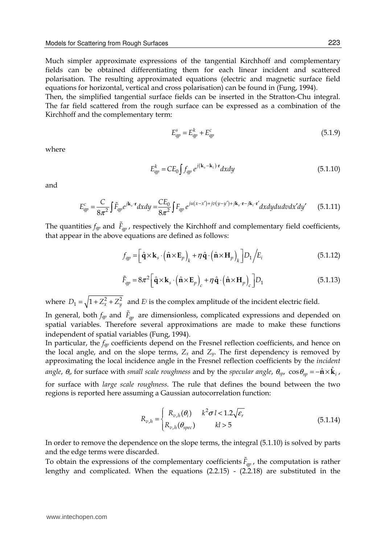Much simpler approximate expressions of the tangential Kirchhoff and complementary fields can be obtained differentiating them for each linear incident and scattered polarisation. The resulting approximated equations (electric and magnetic surface field equations for horizontal, vertical and cross polarisation) can be found in (Fung, 1994).

Then, the simplified tangential surface fields can be inserted in the Stratton-Chu integral. The far field scattered from the rough surface can be expressed as a combination of the Kirchhoff and the complementary term:

$$
E_{qp}^s = E_{qp}^k + E_{qp}^c \tag{5.1.9}
$$

where

$$
E_{qp}^k = CE_0 \int f_{qp} e^{j(\mathbf{k}_s - \mathbf{k}_i) \cdot \mathbf{r}} dx dy
$$
 (5.1.10)

and

$$
E_{qp}^c = \frac{C}{8\pi^2} \int \tilde{F}_{qp} e^{j\mathbf{k}_s \cdot \mathbf{r}} dx dy = \frac{CE_0}{8\pi^2} \int F_{qp} e^{ju(x-x') + jv(y-y') + j\mathbf{k}_s \cdot \mathbf{r} - j\mathbf{k}_i \cdot \mathbf{r}'} dx dy du dv dx'dy' \tag{5.1.11}
$$

The quantities  $f_{qp}$  and  $\tilde{F}_{qp}$ , respectively the Kirchhoff and complementary field coefficients, that appear in the above equations are defined as follows:

$$
f_{qp} = \left[\hat{\mathbf{q}} \times \mathbf{k}_s \cdot \left(\hat{\mathbf{n}} \times \mathbf{E}_p\right)_k + \eta \hat{\mathbf{q}} \cdot \left(\hat{\mathbf{n}} \times \mathbf{H}_p\right)_k\right] D_1 \Big/E_i \tag{5.1.12}
$$

$$
\tilde{F}_{qp} = 8\pi^2 \left[ \hat{\mathbf{q}} \times \mathbf{k}_s \cdot (\hat{\mathbf{n}} \times \mathbf{E}_p)_c + \eta \hat{\mathbf{q}} \cdot (\hat{\mathbf{n}} \times \mathbf{H}_p)_c \right] D_1 \tag{5.1.13}
$$

where  $D_1 = \sqrt{1 + Z_x^2 + Z_y^2}$  and *E*<sup>*i*</sup> is the complex amplitude of the incident electric field. In general, both  $f_{qp}$  and  $\tilde{F}_{qp}$  are dimensionless, complicated expressions and depended on spatial variables. Therefore several approximations are made to make these functions independent of spatial variables (Fung, 1994).

In particular, the *fqp* coefficients depend on the Fresnel reflection coefficients, and hence on the local angle, and on the slope terms,  $Z_x$  and  $Z_y$ . The first dependency is removed by approximating the local incidence angle in the Fresnel reflection coefficients by the *incident angle,*  $\theta_i$ *, for surface with small scale roughness and by the <i>specular angle,*  $\theta_{sp}$ *, cos* $\theta_{sp}$  =− $\hat{\bf n} \times \hat{\bf k}_i$  *,* for surface with *large scale roughness*. The rule that defines the bound between the two regions is reported here assuming a Gaussian autocorrelation function:

$$
R_{v,h} = \begin{cases} R_{v,h}(\theta_i) & k^2 \sigma l < 1.2\sqrt{\varepsilon_r} \\ R_{v,h}(\theta_{spec}) & kl > 5 \end{cases}
$$
(5.1.14)

In order to remove the dependence on the slope terms, the integral (5.1.10) is solved by parts and the edge terms were discarded.

To obtain the expressions of the complementary coefficients  $\tilde{F}_{qp}$ , the computation is rather lengthy and complicated. When the equations  $(2.2.15)$  -  $(2.2.18)$  are substituted in the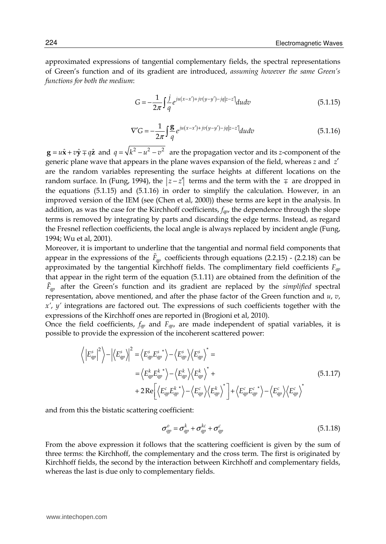approximated expressions of tangential complementary fields, the spectral representations of Green's function and of its gradient are introduced, *assuming however the same Green's functions for both the medium*:

$$
G = -\frac{1}{2\pi} \int \frac{j}{q} e^{ju(x - x') + jv(y - y') - jq|z - z'|} du dv
$$
\n(5.1.15)

$$
\nabla' G = -\frac{1}{2\pi} \int \frac{\mathbf{g}}{q} e^{ju(x-x') + jv(y-y') - jq|z-z'|} du dv
$$
\n(5.1.16)

 $\mathbf{g} = u\hat{\mathbf{x}} + v\hat{\mathbf{y}} \mp q\hat{\mathbf{z}}$  and  $q = \sqrt{k^2 - u^2 - v^2}$  are the propagation vector and its *z*-component of the generic plane wave that appears in the plane waves expansion of the field, whereas *z* and *z*′ are the random variables representing the surface heights at different locations on the random surface. In (Fung, 1994), the  $|z-z'|$  terms and the term with the  $\mp$  are dropped in the equations (5.1.15) and (5.1.16) in order to simplify the calculation. However, in an improved version of the IEM (see (Chen et al, 2000)) these terms are kept in the analysis. In addition, as was the case for the Kirchhoff coefficients, *fqp*, the dependence through the slope terms is removed by integrating by parts and discarding the edge terms. Instead, as regard the Fresnel reflection coefficients, the local angle is always replaced by incident angle (Fung, 1994; Wu et al, 2001).

Moreover, it is important to underline that the tangential and normal field components that appear in the expressions of the  $\tilde{F}_{qp}$  coefficients through equations (2.2.15) - (2.2.18) can be approximated by the tangential Kirchhoff fields. The complimentary field coefficients *Fqp* that appear in the right term of the equation (5.1.11) are obtained from the definition of the *Fqp* after the Green's function and its gradient are replaced by the *simplified* spectral representation, above mentioned, and after the phase factor of the Green function and *u*, *v*, *x'*, *y'* integrations are factored out. The expressions of such coefficients together with the expressions of the Kirchhoff ones are reported in (Brogioni et al, 2010).

Once the field coefficients,  $f_{qp}$  and  $F_{qp}$ , are made independent of spatial variables, it is possible to provide the expression of the incoherent scattered power:

$$
\langle \left| E_{qp}^s \right|^2 \rangle - \left| \langle E_{qp}^s \rangle \right|^2 = \langle E_{qp}^s E_{qp}^{s^*} \rangle - \langle E_{qp}^s \rangle \langle E_{qp}^s \rangle^* =
$$
\n
$$
= \langle E_{qp}^k E_{qp}^{k^*} \rangle - \langle E_{qp}^k \rangle \langle E_{qp}^k \rangle^* +
$$
\n
$$
+ 2 \text{Re} \Big[ \langle E_{qp}^c E_{qp}^{k^*} \rangle - \langle E_{qp}^c \rangle \langle E_{qp}^k \rangle^* \Big] + \langle E_{qp}^c E_{qp}^{c^*} \rangle - \langle E_{qp}^c \rangle \langle E_{qp}^c \rangle^*
$$
\n(5.1.17)

and from this the bistatic scattering coefficient:

$$
\sigma_{qp}^o = \sigma_{qp}^k + \sigma_{qp}^{kc} + \sigma_{qp}^c \tag{5.1.18}
$$

From the above expression it follows that the scattering coefficient is given by the sum of three terms: the Kirchhoff, the complementary and the cross term. The first is originated by Kirchhoff fields, the second by the interaction between Kirchhoff and complementary fields, whereas the last is due only to complementary fields.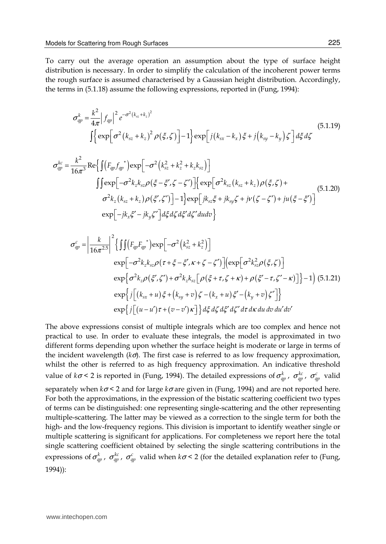To carry out the average operation an assumption about the type of surface height distribution is necessary. In order to simplify the calculation of the incoherent power terms the rough surface is assumed characterised by a Gaussian height distribution. Accordingly, the terms in (5.1.18) assume the following expressions, reported in (Fung, 1994):

$$
\sigma_{qp}^k = \frac{k^2}{4\pi} \left| f_{qp} \right|^2 e^{-\sigma^2 (k_{sz} + k_z)^2}
$$
\n
$$
\int \left\{ \exp \left[ \sigma^2 (k_{sz} + k_z)^2 \rho(\xi, \zeta) \right] - 1 \right\} \exp \left[ j (k_{sx} - k_x) \xi + j (k_{sy} - k_y) \zeta \right] d\xi d\zeta
$$
\n(5.1.19)

$$
\sigma_{qp}^{kc} = \frac{k^2}{16\pi^3} \text{Re}\Big\{ \int (F_{qp} f_{qp}^*) \exp\Big[-\sigma^2 \Big(k_{sz}^2 + k_z^2 + k_z k_{sz}\Big)\Big] \int \int \exp\Big[-\sigma^2 k_z k_{sz} \rho (\xi - \xi', \zeta - \zeta')\Big] \Big\{ \exp\Big[\sigma^2 k_{sz} (k_{sz} + k_z) \rho (\xi, \zeta) + \\ \sigma^2 k_z (k_{sz} + k_z) \rho (\xi', \zeta')\Big] - 1 \Big\} \exp\Big[i k_{sz} \xi + j k_{sy} \zeta + j \nu (\zeta - \zeta') + j u (\xi - \xi')\Big]
$$
(5.1.20)  
\n
$$
\exp\Big[-j k_x \xi' - j k_y \zeta'\Big] d\xi d\zeta d\xi' d\zeta' dudv \Big\}
$$

$$
\sigma_{qp}^{c} = \left| \frac{k}{16\pi^{2.5}} \right|^{2} \left\{ \int \int \left( F_{qp} F_{qp}^{*} \right) \exp \left[ -\sigma^{2} \left( k_{sz}^{2} + k_{z}^{2} \right) \right] \exp \left[ -\sigma^{2} k_{z} k_{sz} \rho \left( \tau + \xi - \xi', \kappa + \zeta - \zeta' \right) \right] \left( \exp \left[ \sigma^{2} k_{sz}^{2} \rho \left( \xi, \zeta \right) \right] \right)
$$
\n
$$
\exp \left\{ \sigma^{2} k_{z} \rho \left( \xi', \zeta' \right) + \sigma^{2} k_{z} k_{sz} \left[ \rho \left( \xi + \tau, \zeta + \kappa \right) + \rho \left( \xi' - \tau, \zeta' - \kappa \right) \right] \right\} - 1 \right) \tag{5.1.21}
$$
\n
$$
\exp \left\{ j \left[ \left( k_{sx} + u \right) \xi + \left( k_{sy} + v \right) \zeta - \left( k_{x} + u \right) \xi' - \left( k_{y} + v \right) \zeta' \right] \right\}
$$
\n
$$
\exp \left\{ j \left[ \left( u - u' \right) \tau + \left( v - v' \right) \kappa \right] \right\} d\xi d\zeta d\xi' d\zeta' d\tau d\kappa du dv du'dv'
$$

The above expressions consist of multiple integrals which are too complex and hence not practical to use. In order to evaluate these integrals, the model is approximated in two different forms depending upon whether the surface height is moderate or large in terms of the incident wavelength (*k*σ). The first case is referred to as low frequency approximation, whilst the other is referred to as high frequency approximation. An indicative threshold value of  $k\sigma$  < 2 is reported in (Fung, 1994). The detailed expressions of  $\sigma_{qp}^k$ ,  $\sigma_{qp}^kc}$ ,  $\sigma_{qp}^c$  valid separately when *k*σ < 2 and for large *k*σ are given in (Fung, 1994) and are not reported here. For both the approximations, in the expression of the bistatic scattering coefficient two types of terms can be distinguished: one representing single-scattering and the other representing multiple-scattering. The latter may be viewed as a correction to the single term for both the high- and the low-frequency regions. This division is important to identify weather single or multiple scattering is significant for applications. For completeness we report here the total single scattering coefficient obtained by selecting the single scattering contributions in the expressions of  $\sigma_{qp}^k$ ,  $\sigma_{qp}^k$ ,  $\sigma_{qp}^c$  valid when  $k\sigma$  < 2 (for the detailed explanation refer to (Fung, 1994)):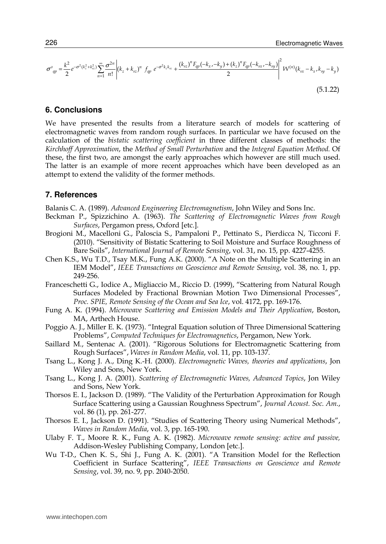$$
\sigma_{qp}^{o} = \frac{k^{2}}{2} e^{-\sigma^{2}(k_{z}^{2} + k_{\rm ss}^{2})} \sum_{n=1}^{\infty} \frac{\sigma^{2n}}{n!} \left| (k_{z} + k_{sz})^{n} f_{qp} e^{-\sigma^{2}k_{z}k_{\rm ss}} + \frac{(k_{sz})^{n} F_{qp}(-k_{x}, -k_{y}) + (k_{z})^{n} F_{qp}(-k_{sx}, -k_{sy})}{2} \right|^{2} W^{(n)}(k_{\rm sx} - k_{x}, k_{sy} - k_{y}) \tag{5.1.22}
$$

#### **6. Conclusions**

We have presented the results from a literature search of models for scattering of electromagnetic waves from random rough surfaces. In particular we have focused on the calculation of the *bistatic scattering coefficient* in three different classes of methods: the *Kirchhoff Approximation*, the *Method of Small Perturbation* and the *Integral Equation Method.* Of these, the first two, are amongst the early approaches which however are still much used. The latter is an example of more recent approaches which have been developed as an attempt to extend the validity of the former methods.

#### **7. References**

Balanis C. A. (1989). *Advanced Engineering Electromagnetism*, John Wiley and Sons Inc.

- Beckman P., Spizzichino A. (1963). *The Scattering of Electromagnetic Waves from Rough Surfaces*, Pergamon press, Oxford [etc.].
- Brogioni M., Macelloni G., Paloscia S., Pampaloni P., Pettinato S., Pierdicca N, Ticconi F. (2010). "Sensitivity of Bistatic Scattering to Soil Moisture and Surface Roughness of Bare Soils", *International Journal of Remote Sensing*, vol. 31, no. 15, pp. 4227-4255.
- Chen K.S., Wu T.D., Tsay M.K., Fung A.K. (2000). "A Note on the Multiple Scattering in an IEM Model", *IEEE Transactions on Geoscience and Remote Sensing*, vol. 38, no. 1, pp. 249-256.
- Franceschetti G., Iodice A., Migliaccio M., Riccio D. (1999), "Scattering from Natural Rough Surfaces Modeled by Fractional Brownian Motion Two Dimensional Processes", *Proc. SPIE, Remote Sensing of the Ocean and Sea Ice*, vol. 4172, pp. 169-176.
- Fung A. K. (1994). *Microwave Scattering and Emission Models and Their Application*, Boston, MA, Arthech House.
- Poggio A. J., Miller E. K. (1973). "Integral Equation solution of Three Dimensional Scattering Problems", *Computed Techniques for Electromagnetics*, Pergamon, New York.
- Saillard M., Sentenac A. (2001). "Rigorous Solutions for Electromagnetic Scattering from Rough Surfaces", *Waves in Random Media*, vol. 11, pp. 103-137.
- Tsang L., Kong J. A., Ding K.-H. (2000). *Electromagnetic Waves, theories and applications*, Jon Wiley and Sons, New York.
- Tsang L., Kong J. A. (2001). *Scattering of Electromagnetic Waves, Advanced Topics*, Jon Wiley and Sons, New York.
- Thorsos E. I., Jackson D. (1989). "The Validity of the Perturbation Approximation for Rough Surface Scattering using a Gaussian Roughness Spectrum", *Journal Acoust. Soc. Am.*, vol. 86 (1), pp. 261-277.
- Thorsos E. I., Jackson D. (1991). "Studies of Scattering Theory using Numerical Methods", *Waves in Random Media*, vol. 3, pp. 165-190.
- Ulaby F. T., Moore R. K., Fung A. K. (1982). *Microwave remote sensing: active and passive,*  Addison-Wesley Publishing Company, London [etc.].
- Wu T-D., Chen K. S., Shi J., Fung A. K. (2001). "A Transition Model for the Reflection Coefficient in Surface Scattering", *IEEE Transactions on Geoscience and Remote Sensing*, vol. 39, no. 9, pp. 2040-2050.